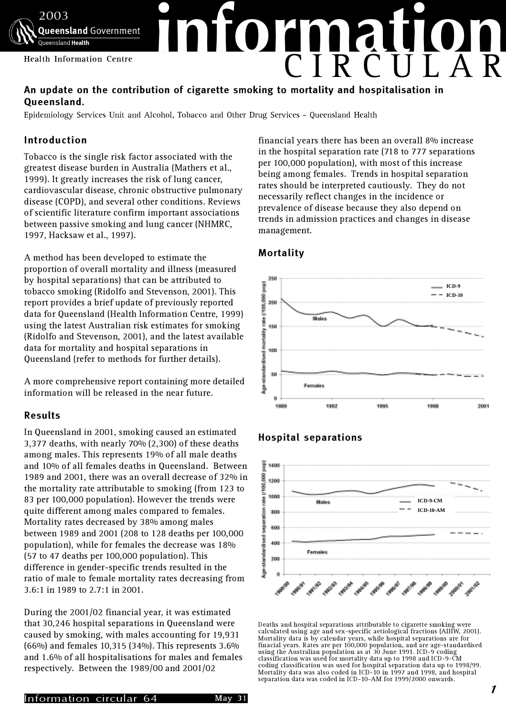

# An update on the contribution of cigarette smoking to mortality and hospitalisation in Queensland.

Epidemiology Services Unit and Alcohol, Tobacco and Other Drug Services - Queensland Health

# Introduction

Tobacco is the single risk factor associated with the greatest disease burden in Australia (Mathers et al., 1999). It greatly increases the risk of lung cancer, cardiovascular disease, chronic obstructive pulmonary disease (COPD), and several other conditions. Reviews of scientific literature confirm important associations between passive smoking and lung cancer (NHMRC, 1997, Hacksaw et al., 1997).

A method has been developed to estimate the proportion of overall mortality and illness (measured by hospital separations) that can be attributed to tobacco smoking (Ridolfo and Stevenson, 2001). This report provides a brief update of previously reported data for Queensland (Health Information Centre, 1999) using the latest Australian risk estimates for smoking (Ridolfo and Stevenson, 2001), and the latest available data for mortality and hospital separations in Queensland (refer to methods for further details).

A more comprehensive report containing more detailed information will be released in the near future.

### Results

In Queensland in 2001, smoking caused an estimated 3,377 deaths, with nearly 70% (2,300) of these deaths among males. This represents 19% of all male deaths and 10% of all females deaths in Queensland. Between 1989 and 2001, there was an overall decrease of 32% in the mortality rate attributable to smoking (from 123 to 83 per 100,000 population). However the trends were quite different among males compared to females. Mortality rates decreased by 38% among males between 1989 and 2001 (208 to 128 deaths per 100,000 population), while for females the decrease was 18% (57 to 47 deaths per 100,000 population). This difference in gender-specific trends resulted in the ratio of male to female mortality rates decreasing from 3.6:1 in 1989 to 2.7:1 in 2001.

During the 2001/02 financial year, it was estimated that 30,246 hospital separations in Queensland were caused by smoking, with males accounting for 19,931 (66%) and females 10,315 (34%). This represents 3.6% and 1.6% of all hospitalisations for males and females respectively. Between the 1989/00 and 2001/02

financial years there has been an overall 8% increase in the hospital separation rate (718 to 777 separations per 100,000 population), with most of this increase being among females. Trends in hospital separation rates should be interpreted cautiously. They do not necessarily reflect changes in the incidence or prevalence of disease because they also depend on trends in admission practices and changes in disease management.



# Mortality

# Hospital separations



Deaths and hospital separations attributable to cigarette smoking were calculated using age and sex-specific aetiological fractions (AIHW, 2001). Mortality data is by calendar years, while hospital separations are for finacial years. Rates are per 100,000 population, and are age-standardised using the Australian population as at 30 June 1991. ICD-9 coding classification was used for mortality data up to 1998 and ICD-9-CM coding classification was used for hospital separation data up to 1998/99. Mortality data was also coded in ICD-10 in 1997 and 1998, and hospital separation data was coded in ICD-10-AM for 1999/2000 onwards.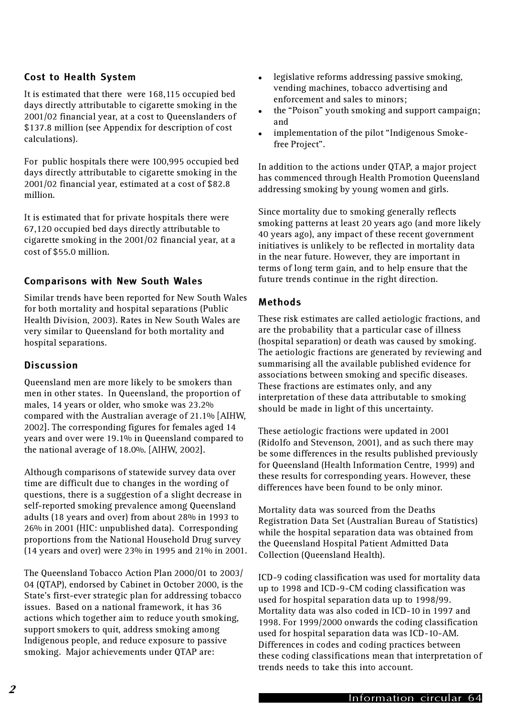# Cost to Health System

It is estimated that there were 168,115 occupied bed days directly attributable to cigarette smoking in the 2001/02 financial year, at a cost to Queenslanders of \$137.8 million (see Appendix for description of cost calculations).

For public hospitals there were 100,995 occupied bed days directly attributable to cigarette smoking in the 2001/02 financial year, estimated at a cost of \$82.8 million.

It is estimated that for private hospitals there were 67,120 occupied bed days directly attributable to cigarette smoking in the 2001/02 financial year, at a cost of \$55.0 million.

## Comparisons with New South Wales

Similar trends have been reported for New South Wales for both mortality and hospital separations (Public Health Division, 2003). Rates in New South Wales are very similar to Queensland for both mortality and hospital separations.

### Discussion

Queensland men are more likely to be smokers than men in other states. In Queensland, the proportion of males, 14 years or older, who smoke was 23.2% compared with the Australian average of 21.1% [AIHW, 2002]. The corresponding figures for females aged 14 years and over were 19.1% in Queensland compared to the national average of 18.0%. [AIHW, 2002].

Although comparisons of statewide survey data over time are difficult due to changes in the wording of questions, there is a suggestion of a slight decrease in self-reported smoking prevalence among Queensland adults (18 years and over) from about 28% in 1993 to 26% in 2001 (HIC: unpublished data). Corresponding proportions from the National Household Drug survey (14 years and over) were 23% in 1995 and 21% in 2001.

The Queensland Tobacco Action Plan 2000/01 to 2003/ 04 (QTAP), endorsed by Cabinet in October 2000, is the State's first-ever strategic plan for addressing tobacco issues. Based on a national framework, it has 36 actions which together aim to reduce youth smoking, support smokers to quit, address smoking among Indigenous people, and reduce exposure to passive smoking. Major achievements under QTAP are:

- legislative reforms addressing passive smoking, vending machines, tobacco advertising and enforcement and sales to minors;
- the "Poison" youth smoking and support campaign; and
- implementation of the pilot "Indigenous Smokefree Project".

In addition to the actions under QTAP, a major project has commenced through Health Promotion Queensland addressing smoking by young women and girls.

Since mortality due to smoking generally reflects smoking patterns at least 20 years ago (and more likely 40 years ago), any impact of these recent government initiatives is unlikely to be reflected in mortality data in the near future. However, they are important in terms of long term gain, and to help ensure that the future trends continue in the right direction.

### Methods

These risk estimates are called aetiologic fractions, and are the probability that a particular case of illness (hospital separation) or death was caused by smoking. The aetiologic fractions are generated by reviewing and summarising all the available published evidence for associations between smoking and specific diseases. These fractions are estimates only, and any interpretation of these data attributable to smoking should be made in light of this uncertainty.

These aetiologic fractions were updated in 2001 (Ridolfo and Stevenson, 2001), and as such there may be some differences in the results published previously for Queensland (Health Information Centre, 1999) and these results for corresponding years. However, these differences have been found to be only minor.

Mortality data was sourced from the Deaths Registration Data Set (Australian Bureau of Statistics) while the hospital separation data was obtained from the Queensland Hospital Patient Admitted Data Collection (Queensland Health).

ICD-9 coding classification was used for mortality data up to 1998 and ICD-9-CM coding classification was used for hospital separation data up to 1998/99. Mortality data was also coded in ICD-10 in 1997 and 1998. For 1999/2000 onwards the coding classification used for hospital separation data was ICD-10-AM. Differences in codes and coding practices between these coding classifications mean that interpretation of trends needs to take this into account.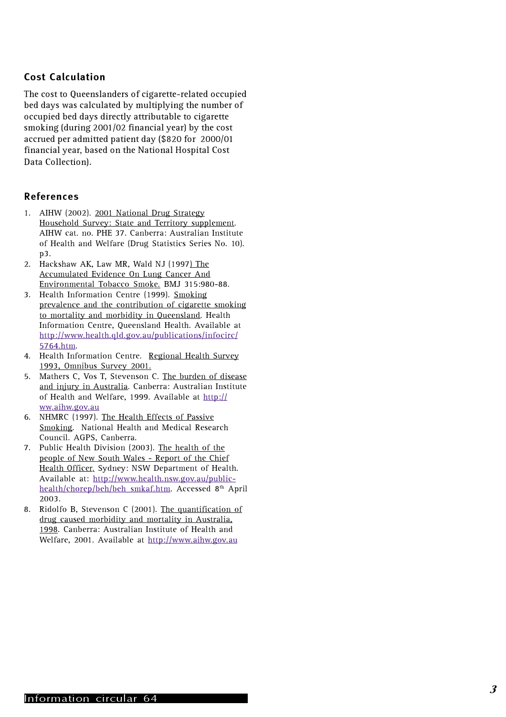# Cost Calculation

The cost to Queenslanders of cigarette-related occupied bed days was calculated by multiplying the number of occupied bed days directly attributable to cigarette smoking (during 2001/02 financial year) by the cost accrued per admitted patient day (\$820 for 2000/01 financial year, based on the National Hospital Cost Data Collection).

## References

- 1. AIHW (2002). 2001 National Drug Strategy Household Survey: State and Territory supplement. AIHW cat. no. PHE 37. Canberra: Australian Institute of Health and Welfare (Drug Statistics Series No. 10). p3.
- 2. Hackshaw AK, Law MR, Wald NJ (1997) The Accumulated Evidence On Lung Cancer And Environmental Tobacco Smoke. BMJ 315:980-88.
- 3. Health Information Centre (1999). Smoking prevalence and the contribution of cigarette smoking to mortality and morbidity in Queensland. Health Information Centre, Queensland Health. Available at http://www.health.qld.gov.au/publications/infocirc/ 5764.htm .
- 4. Health Information Centre. Regional Health Survey 1993, Omnibus Survey 2001.
- 5. Mathers C, Vos T, Stevenson C. The burden of disease and injury in Australia. Canberra: Australian Institute of Health and Welfare, 1999. Available at http:// ww.aihw.gov.au
- 6. NHMRC (1997). The Health Effects of Passive Smoking. National Health and Medical Research Council. AGPS, Canberra.
- 7. Public Health Division (2003). The health of the people of New South Wales - Report of the Chief Health Officer. Sydney: NSW Department of Health. Available at: http://www.health.nsw.gov.au/publichealth/chorep/beh/beh\_smkaf.htm. Accessed 8th April 2003.
- 8. Ridolfo B, Stevenson C (2001). The quantification of drug caused morbidity and mortality in Australia, 1998. Canberra: Australian Institute of Health and Welfare, 2001. Available at http://www.aihw.gov.au